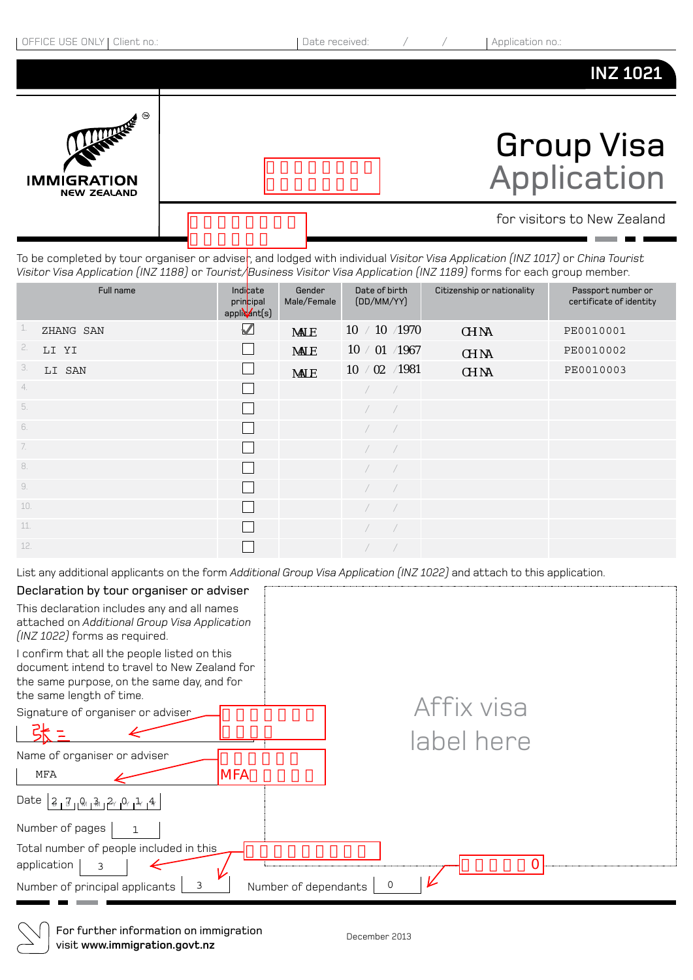

To be completed by tour organiser or advise<sub>r</sub>, and lodged with individual *Visitor Visa Application (INZ 1017)* or *China Tourist Visitor Visa Application (INZ 1188)* or *Tourist/Business Visitor Visa Application (INZ 1189)* forms for each group member.

| Full name        | Indicate<br>principal<br>applicant(s) | Gender<br>Male/Female | Date of birth<br>(DD/MM/YY) | Citizenship or nationality | Passport number or<br>certificate of identity |
|------------------|---------------------------------------|-----------------------|-----------------------------|----------------------------|-----------------------------------------------|
| 1.<br>ZHANG SAN  | $\blacktriangledown$                  | <b>NALE</b>           | 10 / 10 / 1970              | CH NA                      | PE0010001                                     |
| 2.<br>LI YI      |                                       | <b>NALE</b>           | 10 / 01 /1967               | CH NA                      | PE0010002                                     |
| 3.<br>LI SAN     | $\mathbf{L}$                          | <b>NALE</b>           | 10 / 02 / 1981              | CH NA                      | PE0010003                                     |
| 4.               | $\mathbf{L}$                          |                       | $\sqrt{2}$                  |                            |                                               |
| 5.               | $\mathbf{L}$                          |                       |                             |                            |                                               |
| 6.               | $\mathbf{L}$                          |                       | $\sqrt{2}$<br>$\sqrt{2}$    |                            |                                               |
| $\overline{7}$ . | $\mathbf{L}$                          |                       |                             |                            |                                               |
| 8.               | $\mathbf{I}$                          |                       |                             |                            |                                               |
| 9.               | $\mathbf{I}$                          |                       | $\sqrt{2}$<br>$\sqrt{2}$    |                            |                                               |
| 10.              | $\mathbf{L}$                          |                       |                             |                            |                                               |
| 11.              | $\mathbf{I}$                          |                       |                             |                            |                                               |
| 12.              |                                       |                       |                             |                            |                                               |

List any additional applicants on the form *Additional Group Visa Application (INZ 1022)* and attach to this application.

| Declaration by tour organiser or adviser                                                                                                                               |            |
|------------------------------------------------------------------------------------------------------------------------------------------------------------------------|------------|
| This declaration includes any and all names<br>attached on Additional Group Visa Application<br>(INZ 1022) forms as required.                                          |            |
| I confirm that all the people listed on this<br>document intend to travel to New Zealand for<br>the same purpose, on the same day, and for<br>the same length of time. |            |
| Signature of organiser or adviser                                                                                                                                      | Affix visa |
|                                                                                                                                                                        | label here |
| Name of organiser or adviser                                                                                                                                           |            |
| <b>MFA</b><br><b>MFA</b>                                                                                                                                               |            |
| Date $ 3.7.013.26.06.12.14 $                                                                                                                                           |            |
| Number of pages                                                                                                                                                        |            |
| Total number of people included in this<br>application<br>3<br>3                                                                                                       | 0          |
| Number of dependants<br>Number of principal applicants                                                                                                                 |            |